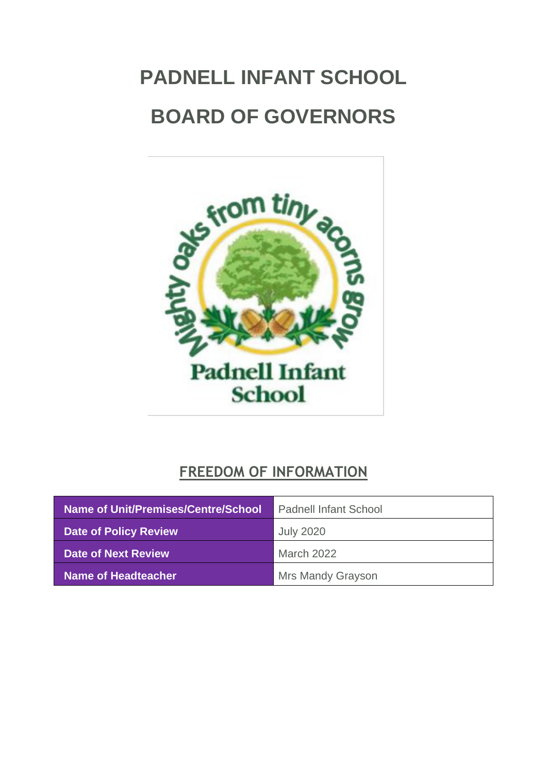# <span id="page-0-0"></span>**PADNELL INFANT SCHOOL BOARD OF GOVERNORS**



# **FREEDOM OF INFORMATION**

| Name of Unit/Premises/Centre/School | <b>Padnell Infant School</b> |
|-------------------------------------|------------------------------|
| Date of Policy Review               | <b>July 2020</b>             |
| Date of Next Review                 | <b>March 2022</b>            |
| <b>Name of Headteacher</b>          | <b>Mrs Mandy Grayson</b>     |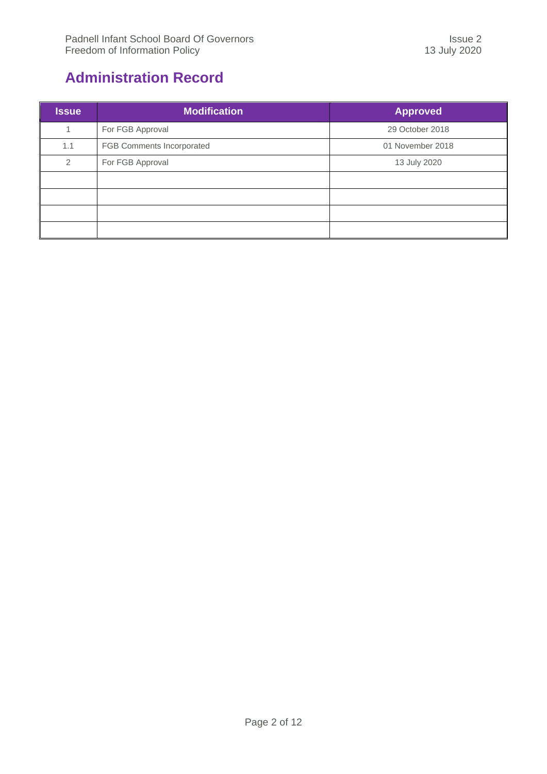# <span id="page-1-0"></span>**Administration Record**

| <b>Issue</b>   | <b>Modification</b>       | <b>Approved</b>  |
|----------------|---------------------------|------------------|
|                | For FGB Approval          | 29 October 2018  |
| 1.1            | FGB Comments Incorporated | 01 November 2018 |
| $\mathfrak{D}$ | For FGB Approval          | 13 July 2020     |
|                |                           |                  |
|                |                           |                  |
|                |                           |                  |
|                |                           |                  |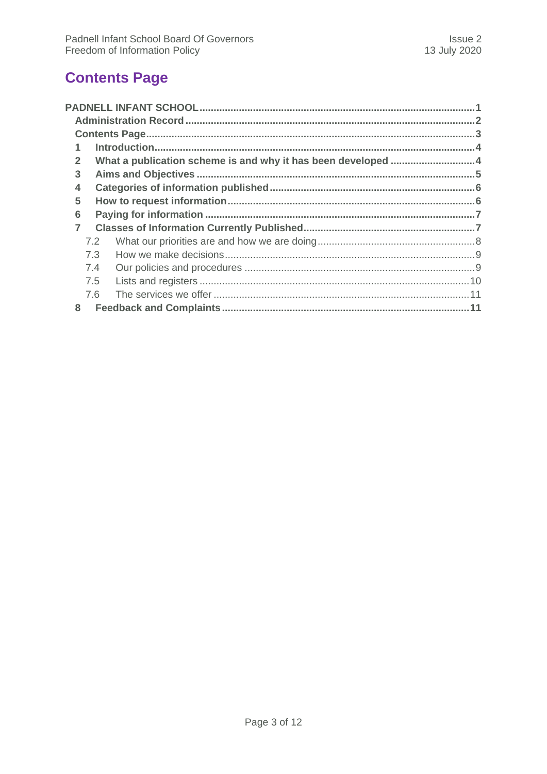# <span id="page-2-0"></span>**Contents Page**

| $\overline{2}$ |     | What a publication scheme is and why it has been developed 4 |  |
|----------------|-----|--------------------------------------------------------------|--|
| 3              |     |                                                              |  |
| 4              |     |                                                              |  |
| 5              |     |                                                              |  |
| 6              |     |                                                              |  |
| $\overline{7}$ |     |                                                              |  |
|                | 7.2 |                                                              |  |
|                | 7.3 |                                                              |  |
|                | 7.4 |                                                              |  |
|                | 7.5 |                                                              |  |
|                | 76  |                                                              |  |
| 8              |     |                                                              |  |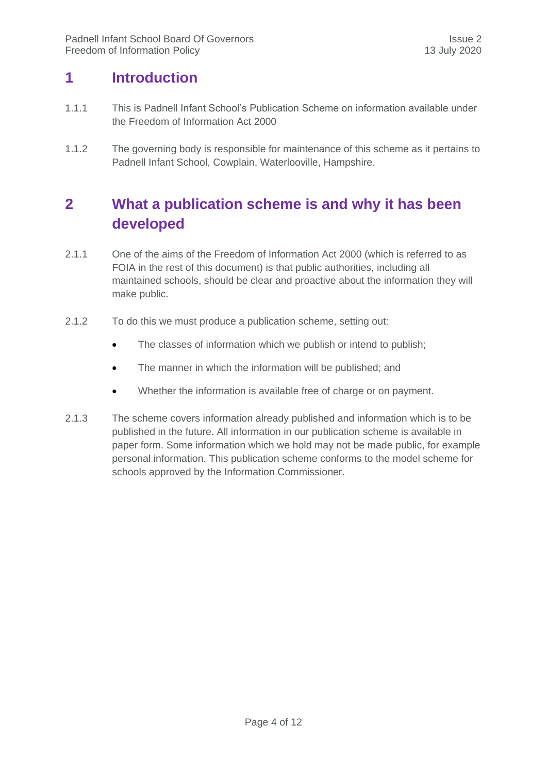## <span id="page-3-0"></span>**1 Introduction**

- 1.1.1 This is Padnell Infant School's Publication Scheme on information available under the Freedom of Information Act 2000
- <span id="page-3-1"></span>1.1.2 The governing body is responsible for maintenance of this scheme as it pertains to Padnell Infant School, Cowplain, Waterlooville, Hampshire.

# **2 What a publication scheme is and why it has been developed**

- 2.1.1 One of the aims of the Freedom of Information Act 2000 (which is referred to as FOIA in the rest of this document) is that public authorities, including all maintained schools, should be clear and proactive about the information they will make public.
- 2.1.2 To do this we must produce a publication scheme, setting out:
	- The classes of information which we publish or intend to publish;
	- The manner in which the information will be published; and
	- Whether the information is available free of charge or on payment.
- 2.1.3 The scheme covers information already published and information which is to be published in the future. All information in our publication scheme is available in paper form. Some information which we hold may not be made public, for example personal information. This publication scheme conforms to the model scheme for schools approved by the Information Commissioner.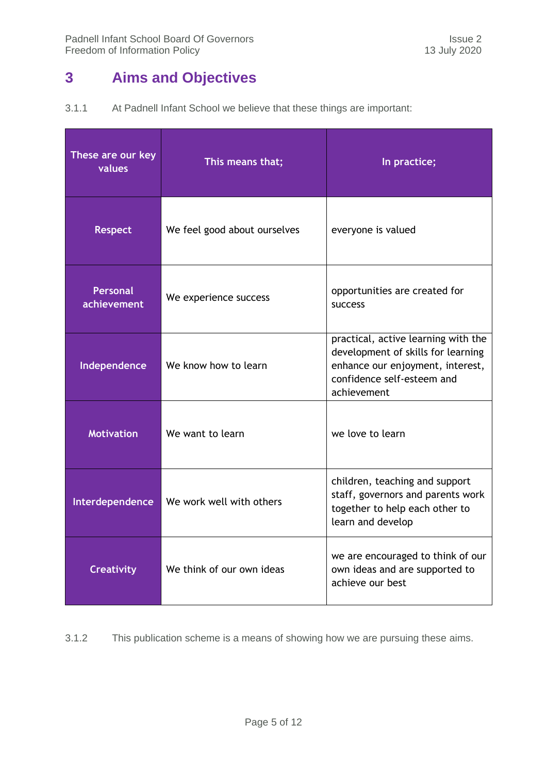# <span id="page-4-0"></span>**3 Aims and Objectives**

| 3.1.1 |  | At Padnell Infant School we believe that these things are important: |  |  |
|-------|--|----------------------------------------------------------------------|--|--|
|-------|--|----------------------------------------------------------------------|--|--|

| These are our key<br>values    | This means that;             | In practice;                                                                                                                                               |
|--------------------------------|------------------------------|------------------------------------------------------------------------------------------------------------------------------------------------------------|
| <b>Respect</b>                 | We feel good about ourselves | everyone is valued                                                                                                                                         |
| <b>Personal</b><br>achievement | We experience success        | opportunities are created for<br><b>SUCCESS</b>                                                                                                            |
| Independence                   | We know how to learn         | practical, active learning with the<br>development of skills for learning<br>enhance our enjoyment, interest,<br>confidence self-esteem and<br>achievement |
| <b>Motivation</b>              | We want to learn             | we love to learn                                                                                                                                           |
| Interdependence                | We work well with others     | children, teaching and support<br>staff, governors and parents work<br>together to help each other to<br>learn and develop                                 |
| <b>Creativity</b>              | We think of our own ideas    | we are encouraged to think of our<br>own ideas and are supported to<br>achieve our best                                                                    |

3.1.2 This publication scheme is a means of showing how we are pursuing these aims.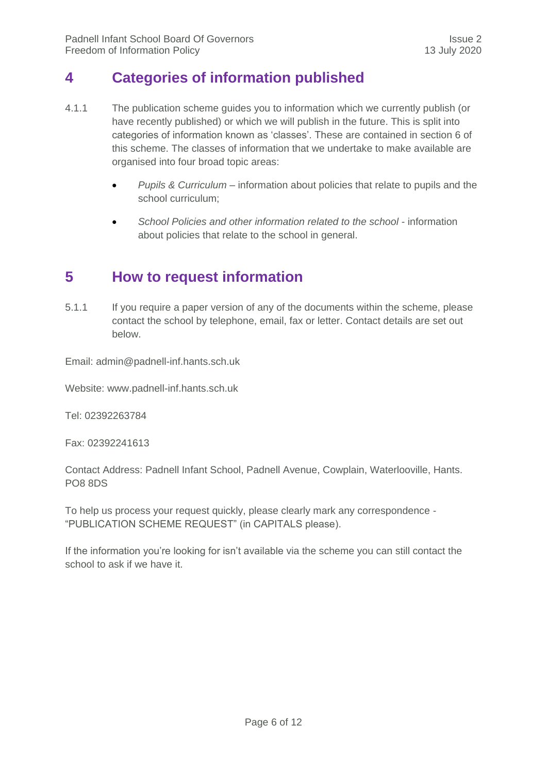## <span id="page-5-0"></span>**4 Categories of information published**

- 4.1.1 The publication scheme guides you to information which we currently publish (or have recently published) or which we will publish in the future. This is split into categories of information known as 'classes'. These are contained in section 6 of this scheme. The classes of information that we undertake to make available are organised into four broad topic areas:
	- *Pupils & Curriculum*  information about policies that relate to pupils and the school curriculum;
	- School Policies and other information related to the school information about policies that relate to the school in general.

## <span id="page-5-1"></span>**5 How to request information**

5.1.1 If you require a paper version of any of the documents within the scheme, please contact the school by telephone, email, fax or letter. Contact details are set out below.

Email: [admin@padnell-inf.hants.sch.uk](mailto:admin@padnell-inf.hants.sch.uk)

Website: www.padnell-inf.hants.sch.uk

Tel: 02392263784

Fax: 02392241613

Contact Address: Padnell Infant School, Padnell Avenue, Cowplain, Waterlooville, Hants. PO8 8DS

To help us process your request quickly, please clearly mark any correspondence - "PUBLICATION SCHEME REQUEST" (in CAPITALS please).

If the information you're looking for isn't available via the scheme you can still contact the school to ask if we have it.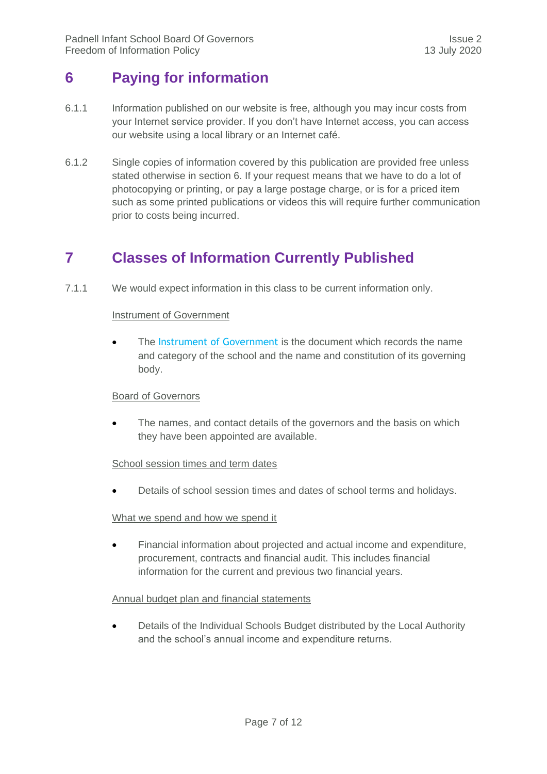# <span id="page-6-0"></span>**6 Paying for information**

- 6.1.1 Information published on our website is free, although you may incur costs from your Internet service provider. If you don't have Internet access, you can access our website using a local library or an Internet café.
- 6.1.2 Single copies of information covered by this publication are provided free unless stated otherwise in section 6. If your request means that we have to do a lot of photocopying or printing, or pay a large postage charge, or is for a priced item such as some printed publications or videos this will require further communication prior to costs being incurred.

# <span id="page-6-1"></span>**7 Classes of Information Currently Published**

7.1.1 We would expect information in this class to be current information only.

#### **Instrument of Government**

 The [Instrument of Government](javascript:popUpJargonDefinition(388)) is the document which records the name and category of the school and the name and constitution of its governing body.

#### Board of Governors

 The names, and contact details of the governors and the basis on which they have been appointed are available.

#### School session times and term dates

Details of school session times and dates of school terms and holidays.

#### What we spend and how we spend it

 Financial information about projected and actual income and expenditure, procurement, contracts and financial audit. This includes financial information for the current and previous two financial years.

#### Annual budget plan and financial statements

 Details of the Individual Schools Budget distributed by the Local Authority and the school's annual income and expenditure returns.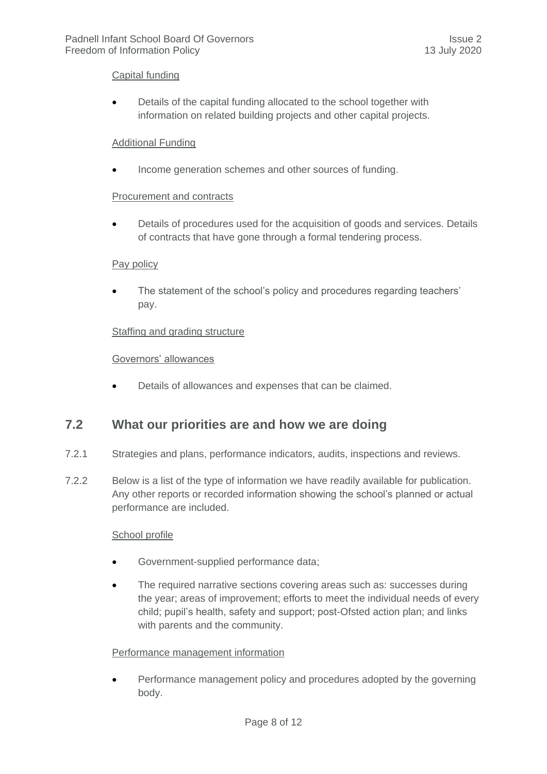#### Capital funding

 Details of the capital funding allocated to the school together with information on related building projects and other capital projects.

#### Additional Funding

Income generation schemes and other sources of funding.

#### Procurement and contracts

 Details of procedures used for the acquisition of goods and services. Details of contracts that have gone through a formal tendering process.

#### Pay policy

 The statement of the school's policy and procedures regarding teachers' pay.

#### Staffing and grading structure

#### Governors' allowances

Details of allowances and expenses that can be claimed.

#### <span id="page-7-0"></span>**7.2 What our priorities are and how we are doing**

- 7.2.1 Strategies and plans, performance indicators, audits, inspections and reviews.
- 7.2.2 Below is a list of the type of information we have readily available for publication. Any other reports or recorded information showing the school's planned or actual performance are included.

#### School profile

- Government-supplied performance data;
- The required narrative sections covering areas such as: successes during the year; areas of improvement; efforts to meet the individual needs of every child; pupil's health, safety and support; post-Ofsted action plan; and links with parents and the community.

#### Performance management information

 Performance management policy and procedures adopted by the governing body.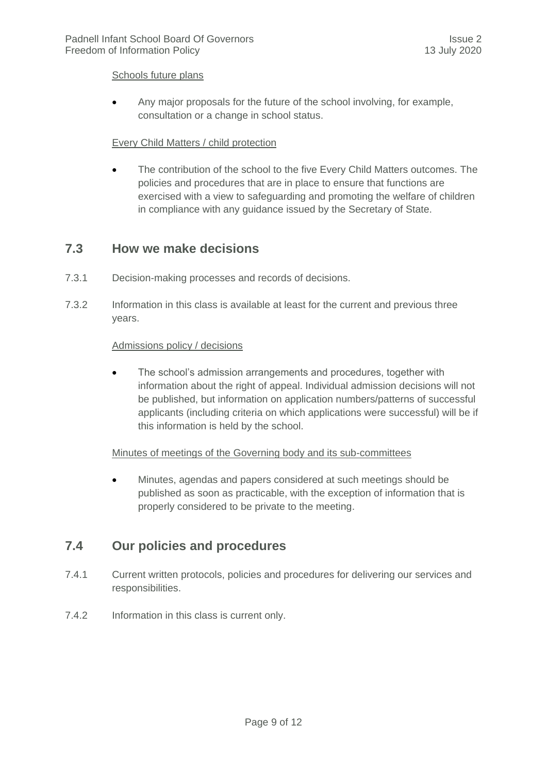#### Schools future plans

 Any major proposals for the future of the school involving, for example, consultation or a change in school status.

#### Every Child Matters / child protection

 The contribution of the school to the five Every Child Matters outcomes. The policies and procedures that are in place to ensure that functions are exercised with a view to safeguarding and promoting the welfare of children in compliance with any guidance issued by the Secretary of State.

#### <span id="page-8-0"></span>**7.3 How we make decisions**

- 7.3.1 Decision-making processes and records of decisions.
- 7.3.2 Information in this class is available at least for the current and previous three years.

#### Admissions policy / decisions

 The school's admission arrangements and procedures, together with information about the right of appeal. Individual admission decisions will not be published, but information on application numbers/patterns of successful applicants (including criteria on which applications were successful) will be if this information is held by the school.

#### Minutes of meetings of the Governing body and its sub-committees

 Minutes, agendas and papers considered at such meetings should be published as soon as practicable, with the exception of information that is properly considered to be private to the meeting.

#### <span id="page-8-1"></span>**7.4 Our policies and procedures**

- 7.4.1 Current written protocols, policies and procedures for delivering our services and responsibilities.
- 7.4.2 Information in this class is current only.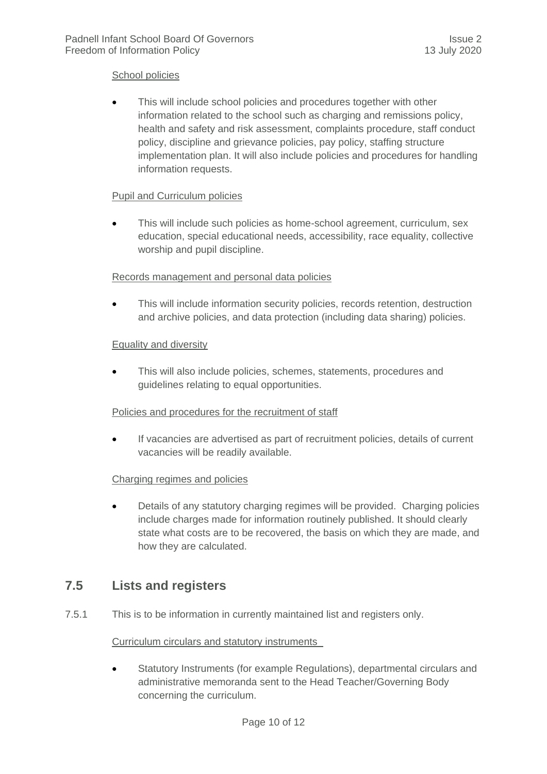#### School policies

 This will include school policies and procedures together with other information related to the school such as charging and remissions policy, health and safety and risk assessment, complaints procedure, staff conduct policy, discipline and grievance policies, pay policy, staffing structure implementation plan. It will also include policies and procedures for handling information requests.

#### Pupil and Curriculum policies

 This will include such policies as home-school agreement, curriculum, sex education, special educational needs, accessibility, race equality, collective worship and pupil discipline.

#### Records management and personal data policies

 This will include information security policies, records retention, destruction and archive policies, and data protection (including data sharing) policies.

#### Equality and diversity

 This will also include policies, schemes, statements, procedures and guidelines relating to equal opportunities.

#### Policies and procedures for the recruitment of staff

 If vacancies are advertised as part of recruitment policies, details of current vacancies will be readily available.

#### Charging regimes and policies

 Details of any statutory charging regimes will be provided. Charging policies include charges made for information routinely published. It should clearly state what costs are to be recovered, the basis on which they are made, and how they are calculated.

#### <span id="page-9-0"></span>**7.5 Lists and registers**

7.5.1 This is to be information in currently maintained list and registers only.

#### Curriculum circulars and statutory instruments

 Statutory Instruments (for example Regulations), departmental circulars and administrative memoranda sent to the Head Teacher/Governing Body concerning the curriculum.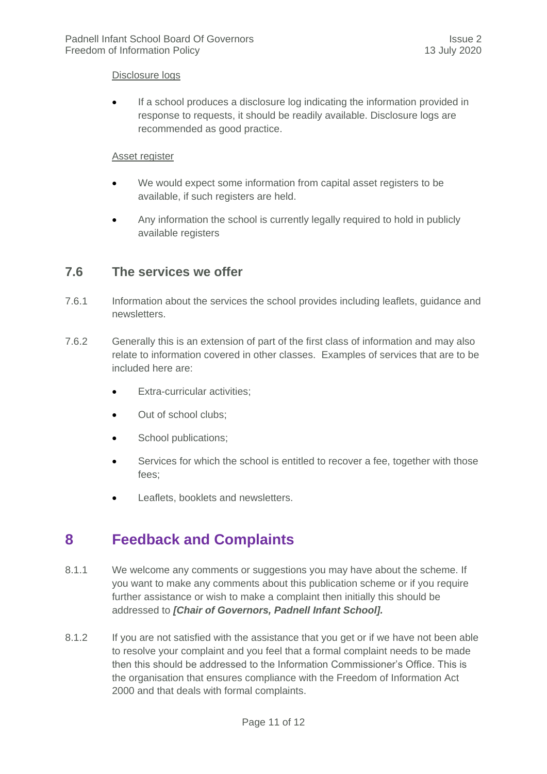#### Disclosure logs

 If a school produces a disclosure log indicating the information provided in response to requests, it should be readily available. Disclosure logs are recommended as good practice.

#### Asset register

- We would expect some information from capital asset registers to be available, if such registers are held.
- Any information the school is currently legally required to hold in publicly available registers

#### <span id="page-10-0"></span>**7.6 The services we offer**

- 7.6.1 Information about the services the school provides including leaflets, guidance and newsletters.
- 7.6.2 Generally this is an extension of part of the first class of information and may also relate to information covered in other classes. Examples of services that are to be included here are:
	- Extra-curricular activities;
	- Out of school clubs;
	- School publications;
	- Services for which the school is entitled to recover a fee, together with those fees;
	- Leaflets, booklets and newsletters.

# <span id="page-10-1"></span>**8 Feedback and Complaints**

- 8.1.1 We welcome any comments or suggestions you may have about the scheme. If you want to make any comments about this publication scheme or if you require further assistance or wish to make a complaint then initially this should be addressed to *[Chair of Governors, Padnell Infant School].*
- 8.1.2 If you are not satisfied with the assistance that you get or if we have not been able to resolve your complaint and you feel that a formal complaint needs to be made then this should be addressed to the Information Commissioner's Office. This is the organisation that ensures compliance with the Freedom of Information Act 2000 and that deals with formal complaints.